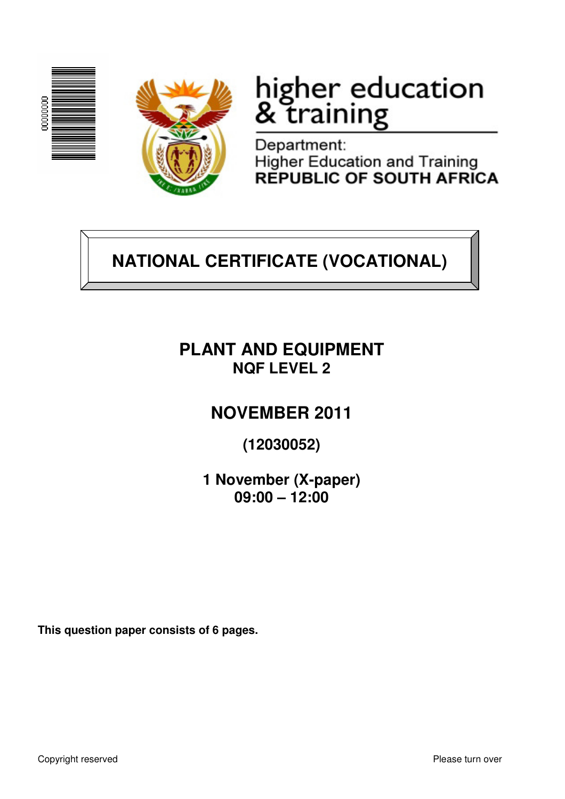



# higher education<br>& training

Department: **Higher Education and Training** REPUBLIC OF SOUTH AFRICA

# **NATIONAL CERTIFICATE (VOCATIONAL)**

### **PLANT AND EQUIPMENT NQF LEVEL 2**

## **NOVEMBER 2011**

**(12030052)** 

**1 November (X-paper) 09:00 – 12:00**

**This question paper consists of 6 pages.**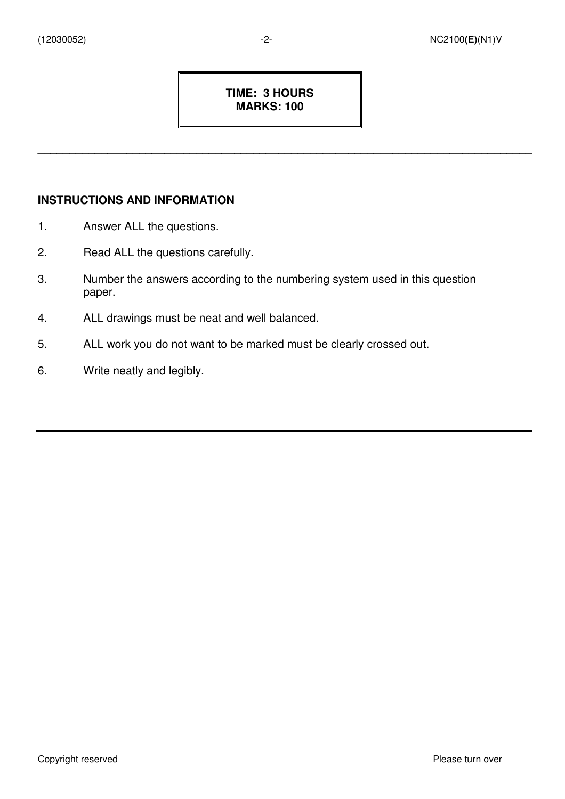#### **TIME: 3 HOURS MARKS: 100**

\_\_\_\_\_\_\_\_\_\_\_\_\_\_\_\_\_\_\_\_\_\_\_\_\_\_\_\_\_\_\_\_\_\_\_\_\_\_\_\_\_\_\_\_\_\_\_\_\_\_\_\_\_\_\_\_\_\_\_\_\_\_\_\_\_\_\_\_\_\_\_\_\_\_\_\_\_\_

#### **INSTRUCTIONS AND INFORMATION**

- 1. Answer ALL the questions.
- 2. Read ALL the questions carefully.
- 3. Number the answers according to the numbering system used in this question paper.
- 4. ALL drawings must be neat and well balanced.
- 5. ALL work you do not want to be marked must be clearly crossed out.
- 6. Write neatly and legibly.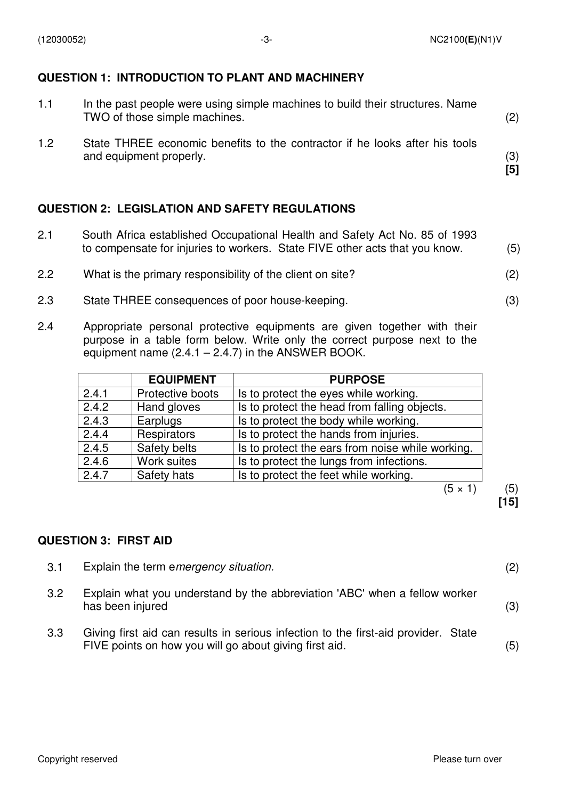#### **QUESTION 1: INTRODUCTION TO PLANT AND MACHINERY**

| 1.1 | In the past people were using simple machines to build their structures. Name<br>TWO of those simple machines. | (2)        |
|-----|----------------------------------------------------------------------------------------------------------------|------------|
| 1.2 | State THREE economic benefits to the contractor if he looks after his tools<br>and equipment properly.         | (3)<br>[5] |

#### **QUESTION 2: LEGISLATION AND SAFETY REGULATIONS**

- 2.1 South Africa established Occupational Health and Safety Act No. 85 of 1993 to compensate for injuries to workers. State FIVE other acts that you know. (5)
- 2.2 What is the primary responsibility of the client on site? (2)
- 2.3 State THREE consequences of poor house-keeping. (3)
- 2.4 Appropriate personal protective equipments are given together with their purpose in a table form below. Write only the correct purpose next to the equipment name  $(2.4.1 - 2.4.7)$  in the ANSWER BOOK.

|       | <b>EQUIPMENT</b> | <b>PURPOSE</b>                                   |
|-------|------------------|--------------------------------------------------|
| 2.4.1 | Protective boots | Is to protect the eyes while working.            |
| 2.4.2 | Hand gloves      | Is to protect the head from falling objects.     |
| 2.4.3 | Earplugs         | Is to protect the body while working.            |
| 2.4.4 | Respirators      | Is to protect the hands from injuries.           |
| 2.4.5 | Safety belts     | Is to protect the ears from noise while working. |
| 2.4.6 | Work suites      | Is to protect the lungs from infections.         |
| 2.4.7 | Safety hats      | Is to protect the feet while working.            |
|       |                  | (5 × 1                                           |

**[15]**

#### **QUESTION 3: FIRST AID**

| 3.1 | Explain the term emergency situation.                                                                                                        | (2) |
|-----|----------------------------------------------------------------------------------------------------------------------------------------------|-----|
| 3.2 | Explain what you understand by the abbreviation 'ABC' when a fellow worker<br>has been injured                                               | (3) |
| 3.3 | Giving first aid can results in serious infection to the first-aid provider. State<br>FIVE points on how you will go about giving first aid. | (5) |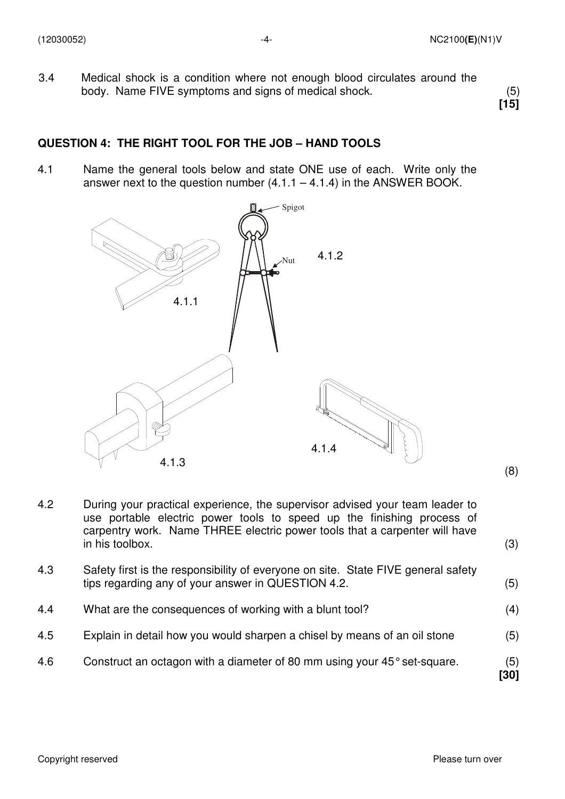3.4 Medical shock is a condition where not enough blood circulates around the body. Name FIVE symptoms and signs of medical shock. (5)

**[15]** 

#### **QUESTION 4: THE RIGHT TOOL FOR THE JOB – HAND TOOLS**

4.1 Name the general tools below and state ONE use of each. Write only the answer next to the question number  $(4.1.1 - 4.1.4)$  in the ANSWER BOOK.



- 4.2 During your practical experience, the supervisor advised your team leader to use portable electric power tools to speed up the finishing process of carpentry work. Name THREE electric power tools that a carpenter will have in his toolbox. (3)
- 4.3 Safety first is the responsibility of everyone on site. State FIVE general safety tips regarding any of your answer in QUESTION 4.2. (5)
- 4.4 What are the consequences of working with a blunt tool? (4)
- 4.5 Explain in detail how you would sharpen a chisel by means of an oil stone (5)
- 4.6 Construct an octagon with a diameter of 80 mm using your 45° set-square. (5) **[30]**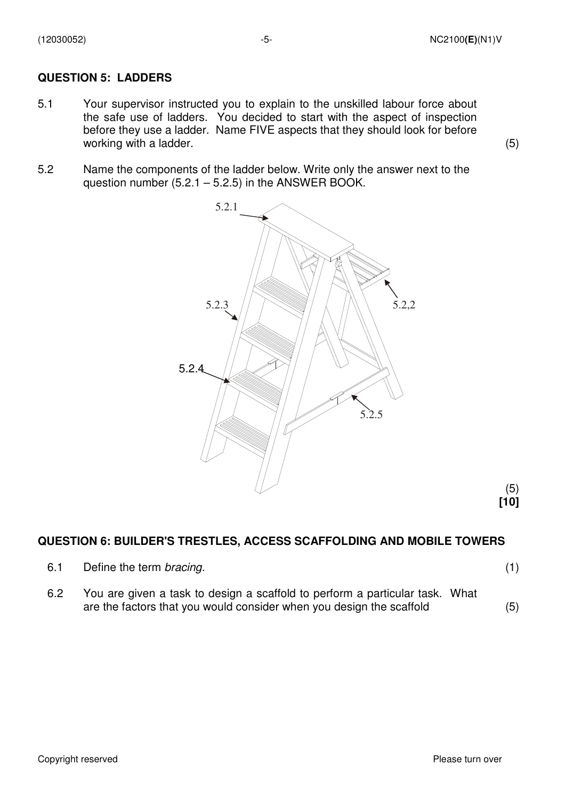#### **QUESTION 5: LADDERS**

- 5.1 Your supervisor instructed you to explain to the unskilled labour force about the safe use of ladders. You decided to start with the aspect of inspection before they use a ladder. Name FIVE aspects that they should look for before working with a ladder. (5)
- 5.2 Name the components of the ladder below. Write only the answer next to the question number  $(5.2.1 - 5.2.5)$  in the ANSWER BOOK.



#### **QUESTION 6: BUILDER'S TRESTLES, ACCESS SCAFFOLDING AND MOBILE TOWERS**

6.1 Define the term bracing. (1)

 (5)  **[10]** 

6.2 You are given a task to design a scaffold to perform a particular task. What are the factors that you would consider when you design the scaffold (5)